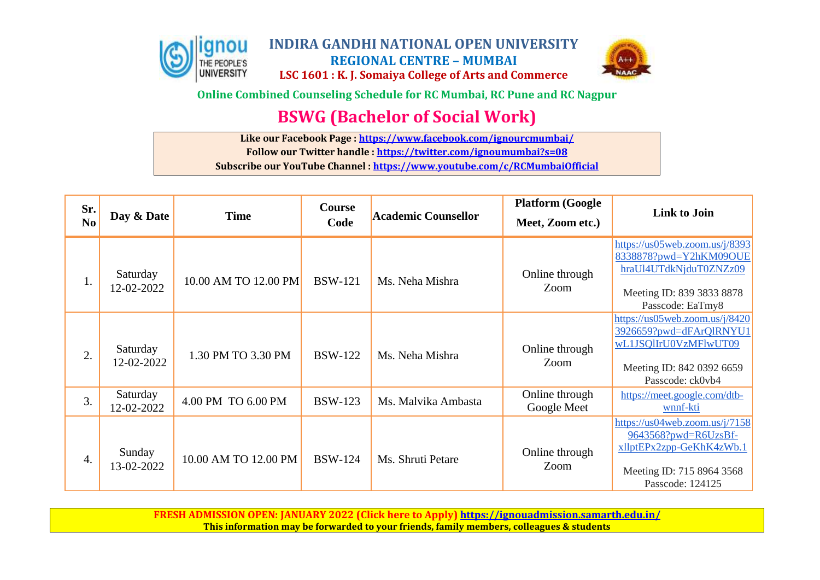



**Online Combined Counseling Schedule for RC Mumbai, RC Pune and RC Nagpur**

# **BSWG (Bachelor of Social Work)**

**Like our Facebook Page [: https://www.facebook.com/ignourcmumbai/](https://www.facebook.com/ignourcmumbai/)**

**Follow our Twitter handle :<https://twitter.com/ignoumumbai?s=08>**

**Subscribe our YouTube Channel :<https://www.youtube.com/c/RCMumbaiOfficial>**

| Sr.<br>N <sub>0</sub> | Day & Date             | <b>Time</b>          | Course<br>Code | <b>Academic Counsellor</b> | <b>Platform (Google</b><br>Meet, Zoom etc.) | <b>Link to Join</b>                                                                                                                    |
|-----------------------|------------------------|----------------------|----------------|----------------------------|---------------------------------------------|----------------------------------------------------------------------------------------------------------------------------------------|
| 1.                    | Saturday<br>12-02-2022 | 10.00 AM TO 12.00 PM | <b>BSW-121</b> | Ms. Neha Mishra            | Online through<br>Zoom                      | https://us05web.zoom.us/j/8393<br>8338878?pwd=Y2hKM09OUE<br>hraUl4UTdkNjduT0ZNZz09<br>Meeting ID: 839 3833 8878<br>Passcode: EaTmy8    |
| 2.                    | Saturday<br>12-02-2022 | 1.30 PM TO 3.30 PM   | <b>BSW-122</b> | Ms. Neha Mishra            | Online through<br>Zoom                      | https://us05web.zoom.us/j/8420<br>3926659?pwd=dFArQIRNYU1<br>wL1JSQlIrU0VzMFlwUT09<br>Meeting ID: 842 0392 6659<br>Passcode: ck0vb4    |
| 3.                    | Saturday<br>12-02-2022 | 4.00 PM TO 6.00 PM   | <b>BSW-123</b> | Ms. Malvika Ambasta        | Online through<br>Google Meet               | https://meet.google.com/dtb-<br>wnnf-kti                                                                                               |
| 4.                    | Sunday<br>13-02-2022   | 10.00 AM TO 12.00 PM | <b>BSW-124</b> | Ms. Shruti Petare          | Online through<br>Zoom                      | https://us04web.zoom.us/j/7158<br>$9643568?$ pwd=R6UzsBf-<br>xllptEPx2zpp-GeKhK4zWb.1<br>Meeting ID: 715 8964 3568<br>Passcode: 124125 |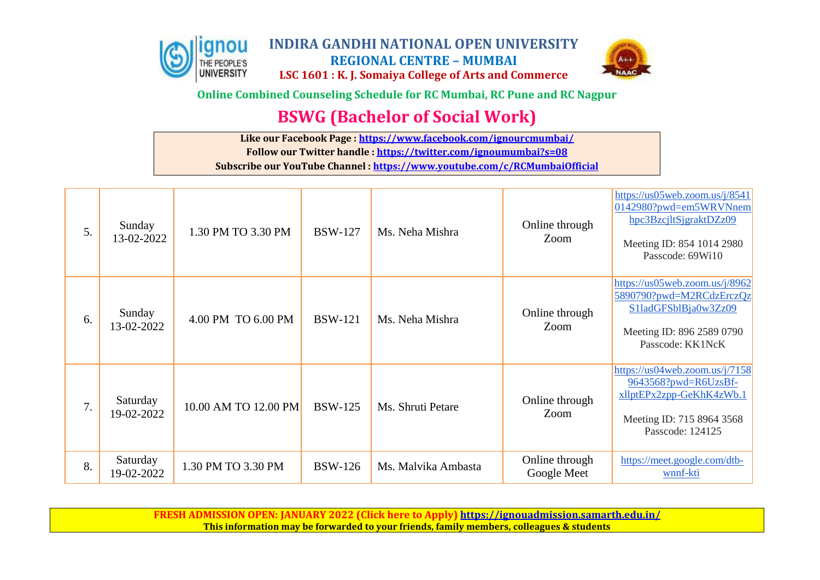



**Online Combined Counseling Schedule for RC Mumbai, RC Pune and RC Nagpur**

# **BSWG (Bachelor of Social Work)**

**Like our Facebook Page [: https://www.facebook.com/ignourcmumbai/](https://www.facebook.com/ignourcmumbai/) Follow our Twitter handle :<https://twitter.com/ignoumumbai?s=08>**

**Subscribe our YouTube Channel :<https://www.youtube.com/c/RCMumbaiOfficial>**

| 5. | Sunday<br>13-02-2022   | 1.30 PM TO 3.30 PM   | <b>BSW-127</b> | Ms. Neha Mishra     | Online through<br>Zoom        | https://us05web.zoom.us/j/8541<br>0142980?pwd=em5WRVNnem<br>hpc3BzcjltSjgraktDZz09<br>Meeting ID: 854 1014 2980<br>Passcode: 69Wi10 |
|----|------------------------|----------------------|----------------|---------------------|-------------------------------|-------------------------------------------------------------------------------------------------------------------------------------|
| 6. | Sunday<br>13-02-2022   | 4.00 PM TO 6.00 PM   | <b>BSW-121</b> | Ms. Neha Mishra     | Online through<br>Zoom        | https://us05web.zoom.us/j/8962<br>5890790?pwd=M2RCdzErczQz<br>S1ladGFSblBja0w3Zz09<br>Meeting ID: 896 2589 0790<br>Passcode: KK1NcK |
| 7. | Saturday<br>19-02-2022 | 10.00 AM TO 12.00 PM | <b>BSW-125</b> | Ms. Shruti Petare   | Online through<br>Zoom        | https://us04web.zoom.us/j/7158<br>9643568?pwd=R6UzsBf-<br>xllptEPx2zpp-GeKhK4zWb.1<br>Meeting ID: 715 8964 3568<br>Passcode: 124125 |
| 8. | Saturday<br>19-02-2022 | 1.30 PM TO 3.30 PM   | <b>BSW-126</b> | Ms. Malvika Ambasta | Online through<br>Google Meet | https://meet.google.com/dtb-<br>wnnf-kti                                                                                            |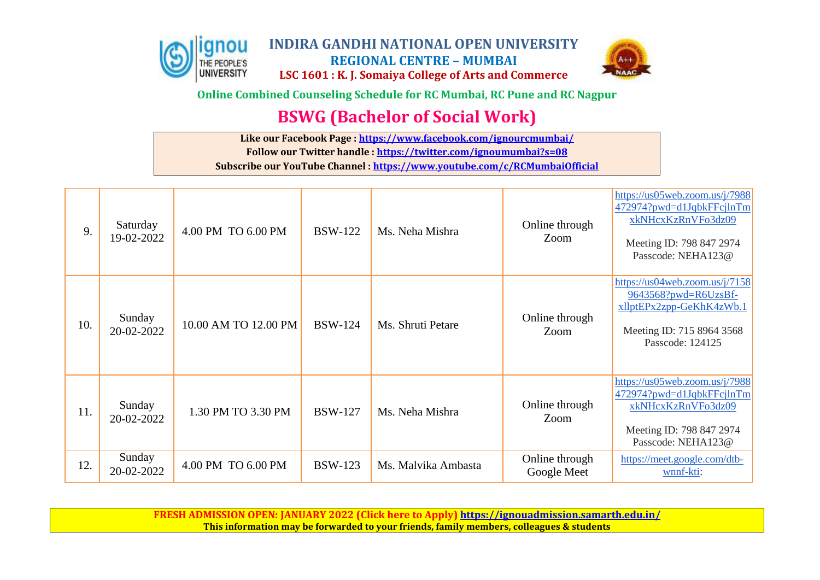



**Online Combined Counseling Schedule for RC Mumbai, RC Pune and RC Nagpur**

# **BSWG (Bachelor of Social Work)**

**Like our Facebook Page [: https://www.facebook.com/ignourcmumbai/](https://www.facebook.com/ignourcmumbai/) Follow our Twitter handle :<https://twitter.com/ignoumumbai?s=08>**

**Subscribe our YouTube Channel :<https://www.youtube.com/c/RCMumbaiOfficial>**

| 9.  | Saturday<br>19-02-2022 | 4.00 PM TO 6.00 PM   | <b>BSW-122</b> | Ms. Neha Mishra     | Online through<br>Zoom        | https://us05web.zoom.us/j/7988<br>472974?pwd=d1JqbkFFcjlnTm<br>xkNHcxKzRnVFo3dz09<br>Meeting ID: 798 847 2974<br>Passcode: NEHA123@ |
|-----|------------------------|----------------------|----------------|---------------------|-------------------------------|-------------------------------------------------------------------------------------------------------------------------------------|
| 10. | Sunday<br>20-02-2022   | 10.00 AM TO 12.00 PM | <b>BSW-124</b> | Ms. Shruti Petare   | Online through<br>Zoom        | https://us04web.zoom.us/j/7158<br>9643568?pwd=R6UzsBf-<br>xllptEPx2zpp-GeKhK4zWb.1<br>Meeting ID: 715 8964 3568<br>Passcode: 124125 |
| 11. | Sunday<br>20-02-2022   | 1.30 PM TO 3.30 PM   | <b>BSW-127</b> | Ms. Neha Mishra     | Online through<br>Zoom        | https://us05web.zoom.us/j/7988<br>472974?pwd=d1JqbkFFcjlnTm<br>xkNHcxKzRnVFo3dz09<br>Meeting ID: 798 847 2974<br>Passcode: NEHA123@ |
| 12. | Sunday<br>20-02-2022   | 4.00 PM TO 6.00 PM   | <b>BSW-123</b> | Ms. Malvika Ambasta | Online through<br>Google Meet | https://meet.google.com/dtb-<br>wnnf-kti:                                                                                           |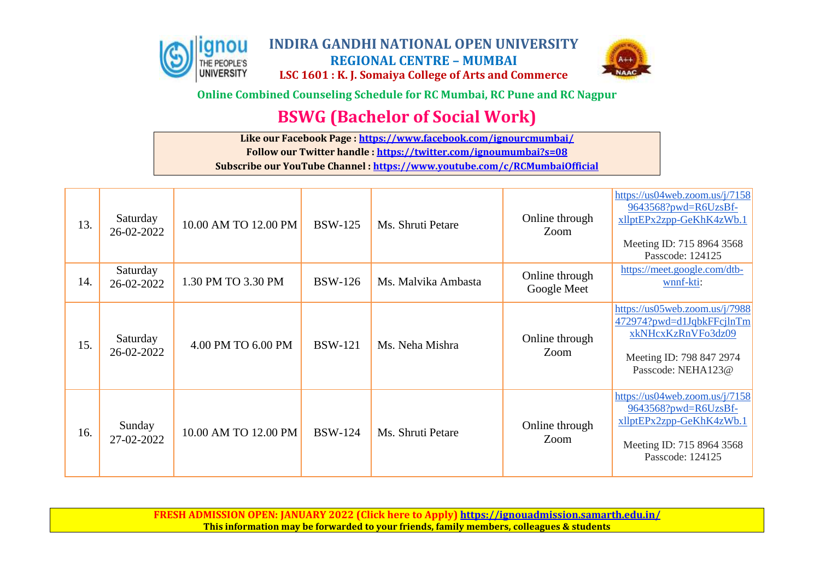



**Online Combined Counseling Schedule for RC Mumbai, RC Pune and RC Nagpur**

# **BSWG (Bachelor of Social Work)**

**Like our Facebook Page [: https://www.facebook.com/ignourcmumbai/](https://www.facebook.com/ignourcmumbai/)**

**Follow our Twitter handle :<https://twitter.com/ignoumumbai?s=08>**

**Subscribe our YouTube Channel :<https://www.youtube.com/c/RCMumbaiOfficial>**

| 13. | Saturday<br>26-02-2022 | 10.00 AM TO 12.00 PM | <b>BSW-125</b> | Ms. Shruti Petare   | Online through<br>Zoom        | https://us04web.zoom.us/j/7158<br>9643568?pwd=R6UzsBf-<br>xllptEPx2zpp-GeKhK4zWb.1<br>Meeting ID: 715 8964 3568<br>Passcode: 124125 |
|-----|------------------------|----------------------|----------------|---------------------|-------------------------------|-------------------------------------------------------------------------------------------------------------------------------------|
| 14. | Saturday<br>26-02-2022 | 1.30 PM TO 3.30 PM   | <b>BSW-126</b> | Ms. Malvika Ambasta | Online through<br>Google Meet | https://meet.google.com/dtb-<br>wnnf-kti:                                                                                           |
| 15. | Saturday<br>26-02-2022 | 4.00 PM TO 6.00 PM   | <b>BSW-121</b> | Ms. Neha Mishra     | Online through<br>Zoom        | https://us05web.zoom.us/j/7988<br>472974?pwd=d1JqbkFFcjlnTm<br>xkNHcxKzRnVFo3dz09<br>Meeting ID: 798 847 2974<br>Passcode: NEHA123@ |
| 16. | Sunday<br>27-02-2022   | 10.00 AM TO 12.00 PM | <b>BSW-124</b> | Ms. Shruti Petare   | Online through<br>Zoom        | https://us04web.zoom.us/j/7158<br>9643568?pwd=R6UzsBf-<br>xllptEPx2zpp-GeKhK4zWb.1<br>Meeting ID: 715 8964 3568<br>Passcode: 124125 |